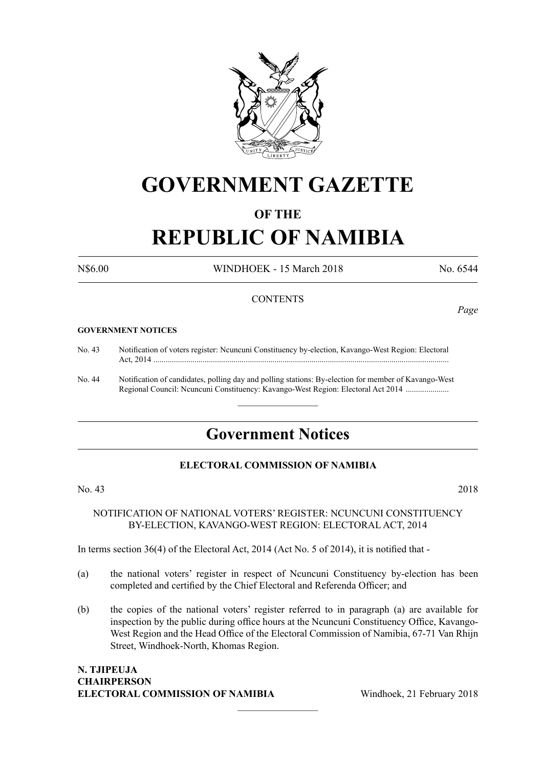

## **GOVERNMENT GAZETTE**

#### **OF THE**

# **REPUBLIC OF NAMIBIA**

N\$6.00 WINDHOEK - 15 March 2018 No. 6544

#### **CONTENTS**

#### **GOVERNMENT NOTICES**

- No. 43 Notification of voters register: Ncuncuni Constituency by-election, Kavango-West Region: Electoral Act, 2014 ................................................................................................................................................
- No. 44 Notification of candidates, polling day and polling stations: By-election for member of Kavango-West Regional Council: Ncuncuni Constituency: Kavango-West Region: Electoral Act 2014 ............................

### **Government Notices**

 $\frac{1}{2}$ 

#### **ELECTORAL COMMISSION OF NAMIBIA**

#### No. 43 2018

#### NOTIFICATION OF NATIONAL VOTERS' REGISTER: NCUNCUNI CONSTITUENCY BY-ELECTION, KAVANGO-WEST REGION: ELECTORAL ACT, 2014

In terms section 36(4) of the Electoral Act, 2014 (Act No. 5 of 2014), it is notified that -

- (a) the national voters' register in respect of Ncuncuni Constituency by-election has been completed and certified by the Chief Electoral and Referenda Officer; and
- (b) the copies of the national voters' register referred to in paragraph (a) are available for inspection by the public during office hours at the Ncuncuni Constituency Office, Kavango-West Region and the Head Office of the Electoral Commission of Namibia, 67-71 Van Rhijn Street, Windhoek-North, Khomas Region.

 $\overline{\phantom{a}}$  , where  $\overline{\phantom{a}}$ 

#### **N. Tjipeuja Chairperson ELECTORAL COMMISSION OF NAMIBIA** Windhoek, 21 February 2018

*Page*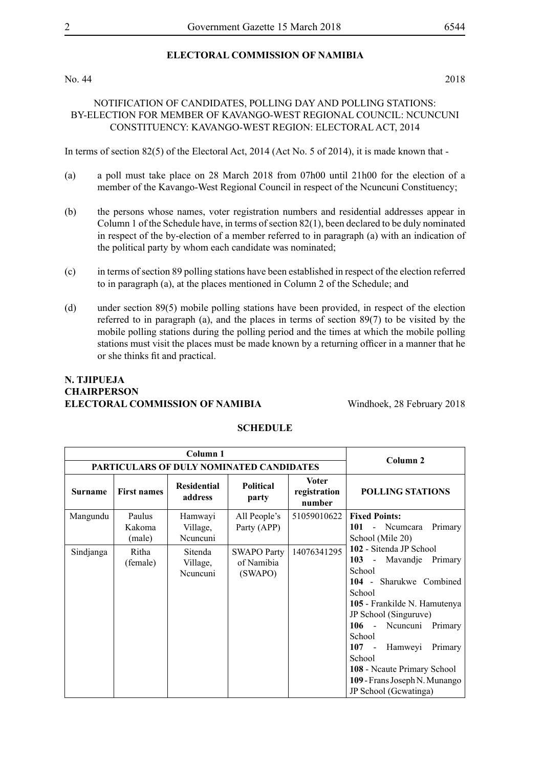#### **ELECTORAL COMMISSION OF NAMIBIA**

No. 44 2018

#### NOTIFICATION OF CANDIDATES, POLLING DAY AND POLLING STATIONS: BY-ELECTION FOR MEMBER OF KAVANGO-WEST REGIONAL COUNCIL: NCUNCUNI CONSTITUENCY: KAVANGO-WEST REGION: ELECTORAL ACT, 2014

In terms of section 82(5) of the Electoral Act, 2014 (Act No. 5 of 2014), it is made known that -

- (a) a poll must take place on 28 March 2018 from 07h00 until 21h00 for the election of a member of the Kavango-West Regional Council in respect of the Ncuncuni Constituency;
- (b) the persons whose names, voter registration numbers and residential addresses appear in Column 1 of the Schedule have, in terms of section 82(1), been declared to be duly nominated in respect of the by-election of a member referred to in paragraph (a) with an indication of the political party by whom each candidate was nominated;
- (c) in terms of section 89 polling stations have been established in respect of the election referred to in paragraph (a), at the places mentioned in Column 2 of the Schedule; and
- (d) under section 89(5) mobile polling stations have been provided, in respect of the election referred to in paragraph (a), and the places in terms of section 89(7) to be visited by the mobile polling stations during the polling period and the times at which the mobile polling stations must visit the places must be made known by a returning officer in a manner that he or she thinks fit and practical.

#### **N. Tjipueja Chairperson ELECTORAL COMMISSION OF NAMIBIA** Windhoek, 28 February 2018

|                |                                          | Column <sub>2</sub>             |                                             |                                        |                                                                                                                                                                                                                                                                                                                                                                                                               |
|----------------|------------------------------------------|---------------------------------|---------------------------------------------|----------------------------------------|---------------------------------------------------------------------------------------------------------------------------------------------------------------------------------------------------------------------------------------------------------------------------------------------------------------------------------------------------------------------------------------------------------------|
|                | PARTICULARS OF DULY NOMINATED CANDIDATES |                                 |                                             |                                        |                                                                                                                                                                                                                                                                                                                                                                                                               |
| <b>Surname</b> | <b>First names</b>                       | <b>Residential</b><br>address   | <b>Political</b><br>party                   | <b>Voter</b><br>registration<br>number | <b>POLLING STATIONS</b>                                                                                                                                                                                                                                                                                                                                                                                       |
| Mangundu       | Paulus<br>Kakoma<br>(male)               | Hamwayi<br>Village,<br>Neuneuni | All People's<br>Party (APP)                 | 51059010622                            | <b>Fixed Points:</b><br>101<br>- Ncumcara<br>Primary<br>School (Mile 20)<br>102 - Sitenda JP School<br>103 - Mavandje Primary<br>School<br>104 - Sharukwe Combined<br>School<br>105 - Frankilde N. Hamutenya<br>JP School (Singuruve)<br>106 - Neuneuni Primary<br>School<br>$107 -$<br>Hamweyi<br>Primary<br>School<br>108 - Neaute Primary School<br>109 - Frans Joseph N. Munango<br>JP School (Gewatinga) |
| Sindjanga      | Ritha<br>(female)                        | Sitenda<br>Village,<br>Neuneuni | <b>SWAPO Party</b><br>of Namibia<br>(SWAPO) | 14076341295                            |                                                                                                                                                                                                                                                                                                                                                                                                               |

#### **SCHEDULE**